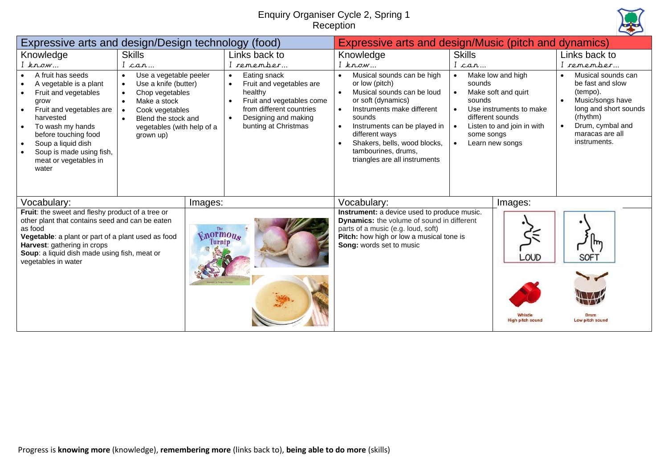## Enquiry Organiser Cycle 2, Spring 1 Reception



| Expressive arts and design/Design technology (food)                                                                                                                                                                                                                                        |                                                                                                                                                                                                                                                                   |                                             |                                                                                                                                                                                                                       | Expressive arts and design/Music (pitch and dynamics)                                                                                                                                                                                                                                                                    |                                                                                                                                                                                                                                             |                                     |                                                                                                                                                                                                                             |  |
|--------------------------------------------------------------------------------------------------------------------------------------------------------------------------------------------------------------------------------------------------------------------------------------------|-------------------------------------------------------------------------------------------------------------------------------------------------------------------------------------------------------------------------------------------------------------------|---------------------------------------------|-----------------------------------------------------------------------------------------------------------------------------------------------------------------------------------------------------------------------|--------------------------------------------------------------------------------------------------------------------------------------------------------------------------------------------------------------------------------------------------------------------------------------------------------------------------|---------------------------------------------------------------------------------------------------------------------------------------------------------------------------------------------------------------------------------------------|-------------------------------------|-----------------------------------------------------------------------------------------------------------------------------------------------------------------------------------------------------------------------------|--|
| Knowledge<br>$I$ know<br>A fruit has seeds<br>$\bullet$<br>A vegetable is a plant<br>Fruit and vegetables<br>grow<br>Fruit and vegetables are<br>harvested<br>To wash my hands<br>before touching food<br>Soup a liquid dish<br>Soup is made using fish,<br>meat or vegetables in<br>water | <b>Skills</b><br>I can<br>Use a vegetable peeler<br>$\bullet$<br>Use a knife (butter)<br>$\bullet$<br>Chop vegetables<br>$\bullet$<br>Make a stock<br>$\bullet$<br>Cook vegetables<br>$\bullet$<br>Blend the stock and<br>vegetables (with help of a<br>grown up) |                                             | Links back to<br>I remember<br>Eating snack<br>$\bullet$<br>Fruit and vegetables are<br>healthy<br>Fruit and vegetables come<br>from different countries<br>Designing and making<br>$\bullet$<br>bunting at Christmas | Knowledge<br>$I$ know<br>Musical sounds can be high<br>or low (pitch)<br>Musical sounds can be loud<br>$\bullet$<br>or soft (dynamics)<br>Instruments make different<br>sounds<br>Instruments can be played in<br>different ways<br>Shakers, bells, wood blocks,<br>tambourines, drums,<br>triangles are all instruments | <b>Skills</b><br>I can<br>Make low and high<br>$\bullet$<br>sounds<br>Make soft and quirt<br>$\bullet$<br>sounds<br>Use instruments to make<br>different sounds<br>Listen to and join in with<br>some songs<br>Learn new songs<br>$\bullet$ |                                     | Links back to<br>I remember<br>Musical sounds can<br>$\bullet$<br>be fast and slow<br>(tempo).<br>Music/songs have<br>$\bullet$<br>long and short sounds<br>(rhythm)<br>Drum, cymbal and<br>maracas are all<br>instruments. |  |
| Vocabulary:<br>Fruit: the sweet and fleshy product of a tree or<br>other plant that contains seed and can be eaten<br>as food<br>Vegetable: a plant or part of a plant used as food<br>Harvest: gathering in crops<br>Soup: a liquid dish made using fish, meat or<br>vegetables in water  |                                                                                                                                                                                                                                                                   | Images:<br><b>Vnormous</b><br><b>Turnip</b> |                                                                                                                                                                                                                       | Vocabulary:<br>Instrument: a device used to produce music.<br><b>Dynamics:</b> the volume of sound in different<br>parts of a music (e.g. loud, soft)<br>Pitch: how high or low a musical tone is<br>Song: words set to music                                                                                            |                                                                                                                                                                                                                                             | Images:<br>LOUD<br>ligh pitch sound | m<br>SOF <sub>1</sub><br>Low pitch sound                                                                                                                                                                                    |  |